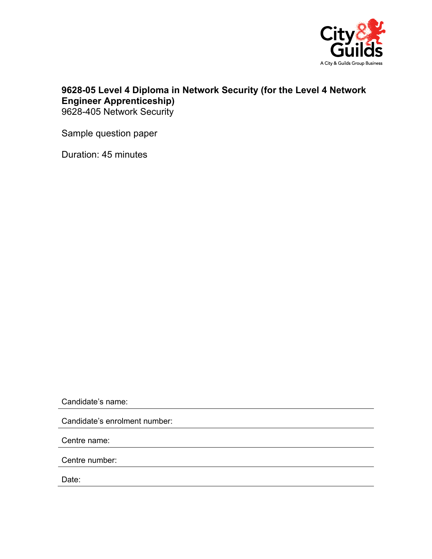

## **9628-05 Level 4 Diploma in Network Security (for the Level 4 Network Engineer Apprenticeship)**  9628-405 Network Security

Sample question paper

Duration: 45 minutes

Candidate's name:

Candidate's enrolment number:

Centre name:

Centre number:

Date: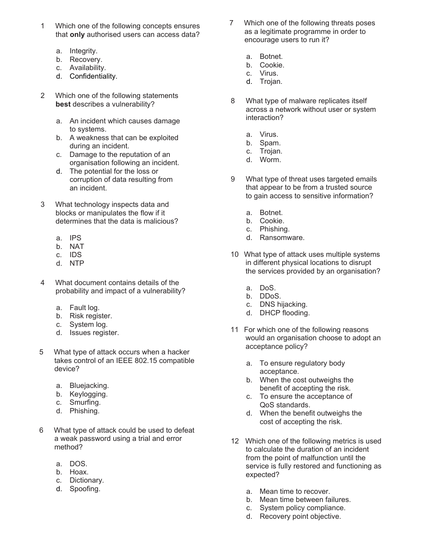- 1 Which one of the following concepts ensures that **only** authorised users can access data?
	- a. Integrity.
	- b. Recovery.
	- c. Availability.
	- d. Confidentiality.
- 2 Which one of the following statements **best** describes a vulnerability?
	- a. An incident which causes damage to systems.
	- b. A weakness that can be exploited during an incident.
	- c. Damage to the reputation of an organisation following an incident.
	- d. The potential for the loss or corruption of data resulting from an incident.
- 3 What technology inspects data and blocks or manipulates the flow if it determines that the data is malicious?
	- a. IPS
	- b. NAT
	- c. IDS
	- d. NTP
- 4 What document contains details of the probability and impact of a vulnerability?
	- a. Fault log.
	- b. Risk register.
	- c. System log.
	- d. Issues register.
- 5 What type of attack occurs when a hacker takes control of an IEEE 802.15 compatible device?
	- a. Bluejacking.
	- b. Keylogging.
	- c. Smurfing.
	- d. Phishing.
- 6 What type of attack could be used to defeat a weak password using a trial and error method?
	- a. DOS.
	- b. Hoax.
	- c. Dictionary.
	- d. Spoofing.
- 7 Which one of the following threats poses as a legitimate programme in order to encourage users to run it?
	- a. Botnet.
	- b. Cookie.
	- c. Virus.
	- d. Trojan.
- 8 What type of malware replicates itself across a network without user or system interaction?
	- a. Virus.
	- b. Spam.
	- c. Trojan.
	- d. Worm.
- 9 What type of threat uses targeted emails that appear to be from a trusted source to gain access to sensitive information?
	- a. Botnet.
	- b. Cookie.
	- c. Phishing.
	- d. Ransomware.
- 10 What type of attack uses multiple systems in different physical locations to disrupt the services provided by an organisation?
	- a. DoS.
	- b. DDoS.
	- c. DNS hijacking.
	- d. DHCP flooding.
- 11 For which one of the following reasons would an organisation choose to adopt an acceptance policy?
	- a. To ensure regulatory body acceptance.
	- b. When the cost outweighs the benefit of accepting the risk.
	- c. To ensure the acceptance of QoS standards.
	- d. When the benefit outweighs the cost of accepting the risk.
- 12 Which one of the following metrics is used to calculate the duration of an incident from the point of malfunction until the service is fully restored and functioning as expected?
	- a. Mean time to recover.
	- b. Mean time between failures.
	- c. System policy compliance.
	- d. Recovery point objective.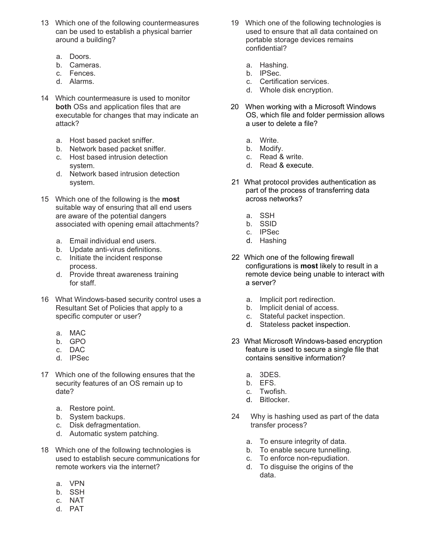- 13 Which one of the following countermeasures can be used to establish a physical barrier around a building?
	- a. Doors.
	- b. Cameras.
	- c. Fences.
	- d. Alarms.
- 14 Which countermeasure is used to monitor **both** OSs and application files that are executable for changes that may indicate an attack?
	- a. Host based packet sniffer.
	- b. Network based packet sniffer.
	- c. Host based intrusion detection system.
	- d. Network based intrusion detection system.
- 15 Which one of the following is the **most** suitable way of ensuring that all end users are aware of the potential dangers associated with opening email attachments?
	- a. Email individual end users.
	- b. Update anti-virus definitions.
	- c. Initiate the incident response process.
	- d. Provide threat awareness training for staff.
- 16 What Windows-based security control uses a Resultant Set of Policies that apply to a specific computer or user?
	- a. MAC
	- b. GPO
	- c. DAC
	- d. IPSec
- 17 Which one of the following ensures that the security features of an OS remain up to date?
	- a. Restore point.
	- b. System backups.
	- c. Disk defragmentation.
	- d. Automatic system patching.
- 18 Which one of the following technologies is used to establish secure communications for remote workers via the internet?
	- a. VPN
	- b. SSH
	- c. NAT
	- d. PAT
- 19 Which one of the following technologies is used to ensure that all data contained on portable storage devices remains confidential?
	- a. Hashing.
	- b. IPSec.
	- c. Certification services.
	- d. Whole disk encryption.
- 20 When working with a Microsoft Windows OS, which file and folder permission allows a user to delete a file?
	- a. Write.
	- b. Modify.
	- c. Read & write.
	- d. Read & execute.
- 21 What protocol provides authentication as part of the process of transferring data across networks?
	- a. SSH
	- b. SSID
	- c. IPSec
	- d. Hashing
- 22 Which one of the following firewall configurations is **most** likely to result in a remote device being unable to interact with a server?
	- a. Implicit port redirection.
	- b. Implicit denial of access.
	- c. Stateful packet inspection.
	- d. Stateless packet inspection.
- 23 What Microsoft Windows-based encryption feature is used to secure a single file that contains sensitive information?
	- a. 3DES.
	- b. EFS.
	- c. Twofish.
	- d. Bitlocker.
- 24 Why is hashing used as part of the data transfer process?
	- a. To ensure integrity of data.
	- b. To enable secure tunnelling.
	- c. To enforce non-repudiation.
	- d. To disguise the origins of the data.